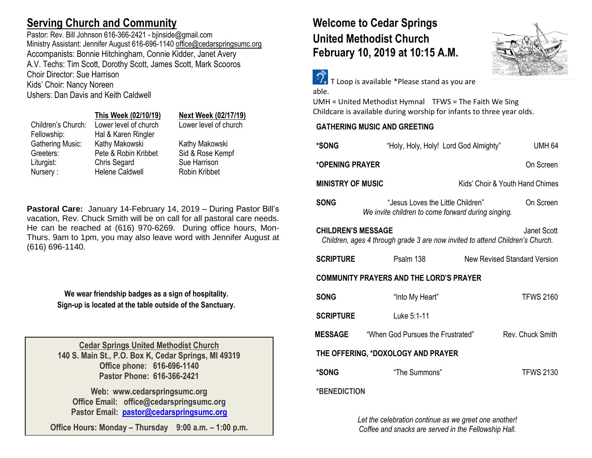# **Serving Church and Community**

Pastor: Rev. Bill Johnson 616-366-2421 - biinside@gmail.com Ministry Assistant: Jennifer August 616-696-1140 [office@cedarspringsumc.org](mailto:office@cedarspringsumc.org) Accompanists: Bonnie Hitchingham, Connie Kidder, Janet Avery A.V. Techs: Tim Scott, Dorothy Scott, James Scott, Mark Scooros Choir Director: Sue Harrison Kids' Choir: Nancy Noreen Ushers: Dan Davis and Keith Caldwell

## **This Week (02/10/19) Next Week (02/17/19)**

Fellowship: Hal & Karen Ringler Gathering Music: Kathy Makowski Kathy Makowski Greeters: Pete & Robin Kribbet Sid & Rose Kempf Liturgist: Chris Segard Sue Harrison Nursery : Helene Caldwell Robin Kribbet

Children's Church: Lower level of church Lower level of church

**Pastoral Care:** January 14-February 14, 2019 – During Pastor Bill's vacation, Rev. Chuck Smith will be on call for all pastoral care needs. He can be reached at (616) 970-6269. During office hours, Mon-Thurs. 9am to 1pm, you may also leave word with Jennifer August at (616) 696-1140.

> **We wear friendship badges as a sign of hospitality. Sign-up is located at the table outside of the Sanctuary.**

**Cedar Springs United Methodist Church 140 S. Main St., P.O. Box K, Cedar Springs, MI 49319 Office phone: 616-696-1140 Pastor Phone: 616-366-2421**

**Web: www.cedarspringsumc.org Office Email: office@cedarspringsumc.org Pastor Email: [pastor@cedarspringsumc.org](mailto:pastor@cedarspringsumc.org)**

**Office Hours: Monday – Thursday 9:00 a.m. – 1:00 p.m.**

# **Welcome to Cedar Springs United Methodist Church February 10, 2019 at 10:15 A.M.**



 $\widehat{\mathcal{D}_{\tau}}$  T Loop is available \*Please stand as you are able.

UMH = United Methodist Hymnal TFWS = The Faith We Sing Childcare is available during worship for infants to three year olds.

# **GATHERING MUSIC AND GREETING**

| *SONG                                                                                                                     | "Holy, Holy, Holy! Lord God Almighty"                                                   | <b>UMH 64</b>                       |  |  |
|---------------------------------------------------------------------------------------------------------------------------|-----------------------------------------------------------------------------------------|-------------------------------------|--|--|
| *OPENING PRAYER<br>On Screen                                                                                              |                                                                                         |                                     |  |  |
| <b>MINISTRY OF MUSIC</b>                                                                                                  |                                                                                         | Kids' Choir & Youth Hand Chimes     |  |  |
| <b>SONG</b>                                                                                                               | "Jesus Loves the Little Children"<br>We invite children to come forward during singing. | On Screen                           |  |  |
| <b>CHILDREN'S MESSAGE</b><br>Janet Scott<br>Children, ages 4 through grade 3 are now invited to attend Children's Church. |                                                                                         |                                     |  |  |
| <b>SCRIPTURE</b>                                                                                                          | Psalm 138                                                                               | <b>New Revised Standard Version</b> |  |  |
| <b>COMMUNITY PRAYERS AND THE LORD'S PRAYER</b>                                                                            |                                                                                         |                                     |  |  |
| <b>SONG</b>                                                                                                               | "Into My Heart"                                                                         | <b>TFWS 2160</b>                    |  |  |
| <b>SCRIPTURE</b>                                                                                                          | Luke 5:1-11                                                                             |                                     |  |  |
| <b>MESSAGE</b>                                                                                                            | "When God Pursues the Frustrated"                                                       | Rev Chuck Smith                     |  |  |
| THE OFFERING, *DOXOLOGY AND PRAYER                                                                                        |                                                                                         |                                     |  |  |
| *SONG                                                                                                                     | "The Summons"                                                                           | <b>TFWS 2130</b>                    |  |  |
| *BENEDICTION                                                                                                              |                                                                                         |                                     |  |  |

*Let the celebration continue as we greet one another! Coffee and snacks are served in the Fellowship Hall.*